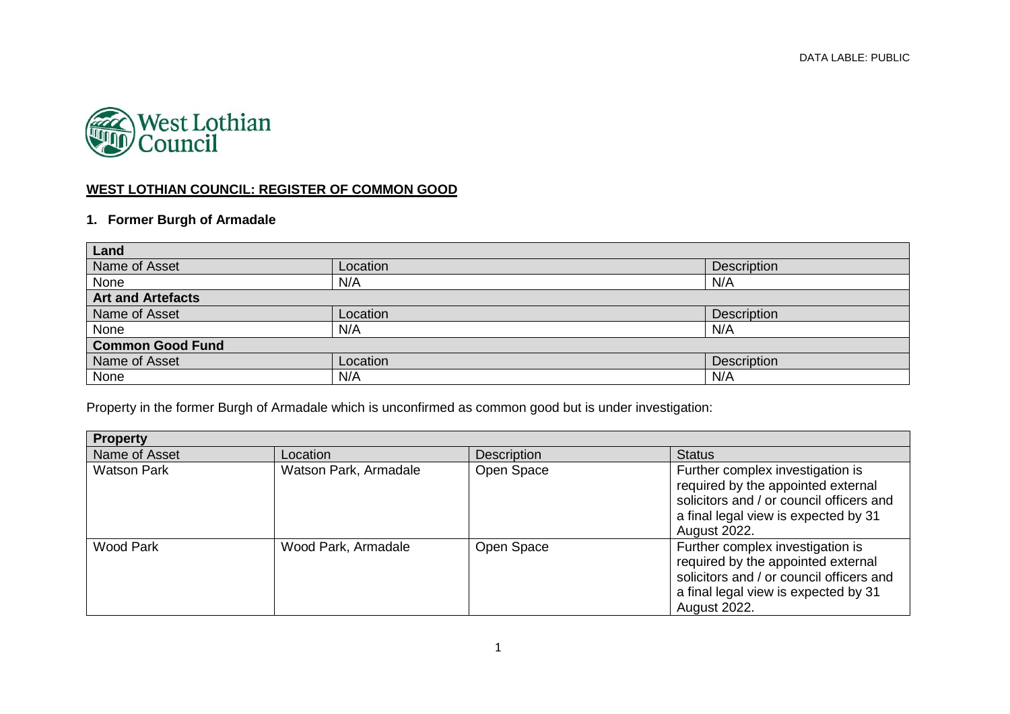

#### **WEST LOTHIAN COUNCIL: REGISTER OF COMMON GOOD**

#### **1. Former Burgh of Armadale**

| Land                     |          |             |  |
|--------------------------|----------|-------------|--|
| Name of Asset            | Location | Description |  |
| None                     | N/A      | N/A         |  |
| <b>Art and Artefacts</b> |          |             |  |
| Name of Asset            | Location | Description |  |
| None                     | N/A      | N/A         |  |
| <b>Common Good Fund</b>  |          |             |  |
| Name of Asset            | Location | Description |  |
| None                     | N/A      | N/A         |  |

Property in the former Burgh of Armadale which is unconfirmed as common good but is under investigation:

| <b>Property</b>    |                       |                    |                                                                                                                                                                                   |
|--------------------|-----------------------|--------------------|-----------------------------------------------------------------------------------------------------------------------------------------------------------------------------------|
| Name of Asset      | Location              | <b>Description</b> | <b>Status</b>                                                                                                                                                                     |
| <b>Watson Park</b> | Watson Park, Armadale | Open Space         | Further complex investigation is<br>required by the appointed external<br>solicitors and / or council officers and<br>a final legal view is expected by 31<br>August 2022.        |
| <b>Wood Park</b>   | Wood Park, Armadale   | Open Space         | Further complex investigation is<br>required by the appointed external<br>solicitors and / or council officers and<br>a final legal view is expected by 31<br><b>August 2022.</b> |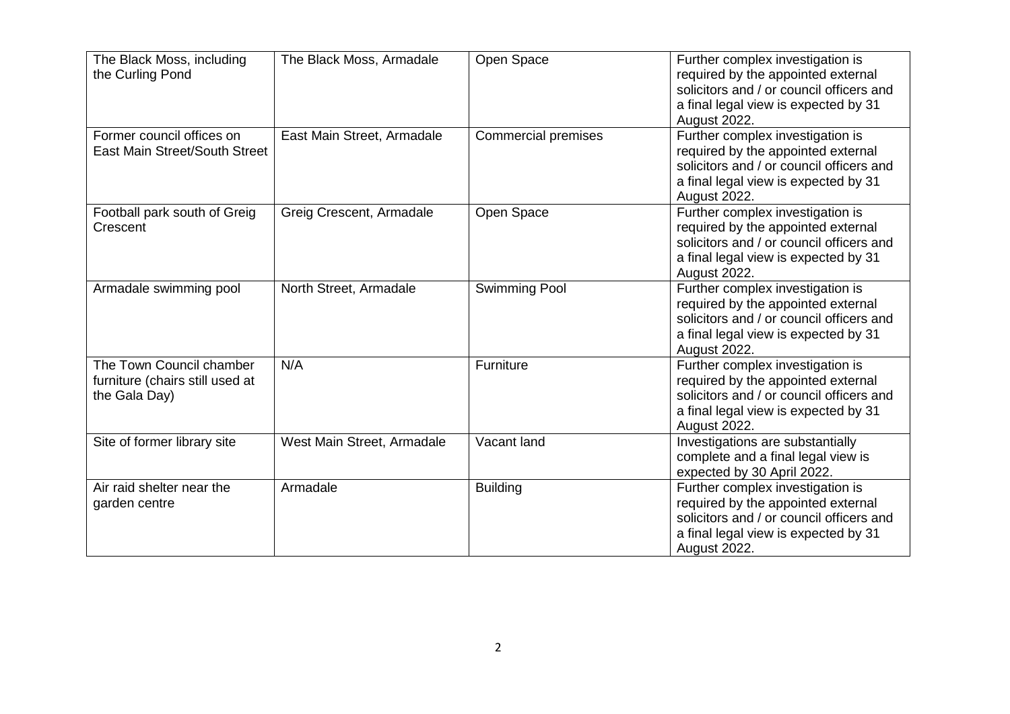| The Black Moss, including<br>the Curling Pond                                | The Black Moss, Armadale   | Open Space                 | Further complex investigation is<br>required by the appointed external<br>solicitors and / or council officers and<br>a final legal view is expected by 31<br>August 2022. |
|------------------------------------------------------------------------------|----------------------------|----------------------------|----------------------------------------------------------------------------------------------------------------------------------------------------------------------------|
| Former council offices on<br><b>East Main Street/South Street</b>            | East Main Street, Armadale | <b>Commercial premises</b> | Further complex investigation is<br>required by the appointed external<br>solicitors and / or council officers and<br>a final legal view is expected by 31<br>August 2022. |
| Football park south of Greig<br>Crescent                                     | Greig Crescent, Armadale   | Open Space                 | Further complex investigation is<br>required by the appointed external<br>solicitors and / or council officers and<br>a final legal view is expected by 31<br>August 2022. |
| Armadale swimming pool                                                       | North Street, Armadale     | <b>Swimming Pool</b>       | Further complex investigation is<br>required by the appointed external<br>solicitors and / or council officers and<br>a final legal view is expected by 31<br>August 2022. |
| The Town Council chamber<br>furniture (chairs still used at<br>the Gala Day) | N/A                        | Furniture                  | Further complex investigation is<br>required by the appointed external<br>solicitors and / or council officers and<br>a final legal view is expected by 31<br>August 2022. |
| Site of former library site                                                  | West Main Street, Armadale | Vacant land                | Investigations are substantially<br>complete and a final legal view is<br>expected by 30 April 2022.                                                                       |
| Air raid shelter near the<br>garden centre                                   | Armadale                   | <b>Building</b>            | Further complex investigation is<br>required by the appointed external<br>solicitors and / or council officers and<br>a final legal view is expected by 31<br>August 2022. |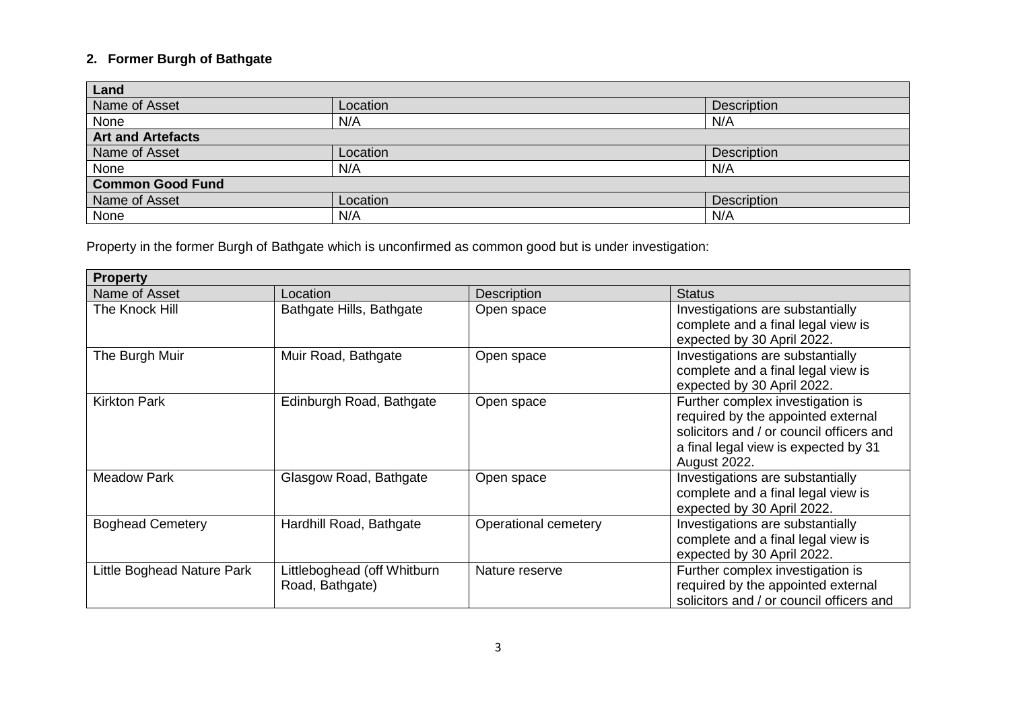## **2. Former Burgh of Bathgate**

| Land                     |          |                    |  |
|--------------------------|----------|--------------------|--|
| Name of Asset            | Location | <b>Description</b> |  |
| None                     | N/A      | N/A                |  |
| <b>Art and Artefacts</b> |          |                    |  |
| Name of Asset            | Location | Description        |  |
| None                     | N/A      | N/A                |  |
| <b>Common Good Fund</b>  |          |                    |  |
| Name of Asset            | Location | Description        |  |
| None                     | N/A      | N/A                |  |

Property in the former Burgh of Bathgate which is unconfirmed as common good but is under investigation:

| <b>Property</b>            |                                                |                      |                                                                                                                                                                            |
|----------------------------|------------------------------------------------|----------------------|----------------------------------------------------------------------------------------------------------------------------------------------------------------------------|
| Name of Asset              | Location                                       | <b>Description</b>   | <b>Status</b>                                                                                                                                                              |
| The Knock Hill             | Bathgate Hills, Bathgate                       | Open space           | Investigations are substantially<br>complete and a final legal view is<br>expected by 30 April 2022.                                                                       |
| The Burgh Muir             | Muir Road, Bathgate                            | Open space           | Investigations are substantially<br>complete and a final legal view is<br>expected by 30 April 2022.                                                                       |
| <b>Kirkton Park</b>        | Edinburgh Road, Bathgate                       | Open space           | Further complex investigation is<br>required by the appointed external<br>solicitors and / or council officers and<br>a final legal view is expected by 31<br>August 2022. |
| <b>Meadow Park</b>         | Glasgow Road, Bathgate                         | Open space           | Investigations are substantially<br>complete and a final legal view is<br>expected by 30 April 2022.                                                                       |
| <b>Boghead Cemetery</b>    | Hardhill Road, Bathgate                        | Operational cemetery | Investigations are substantially<br>complete and a final legal view is<br>expected by 30 April 2022.                                                                       |
| Little Boghead Nature Park | Littleboghead (off Whitburn<br>Road, Bathgate) | Nature reserve       | Further complex investigation is<br>required by the appointed external<br>solicitors and / or council officers and                                                         |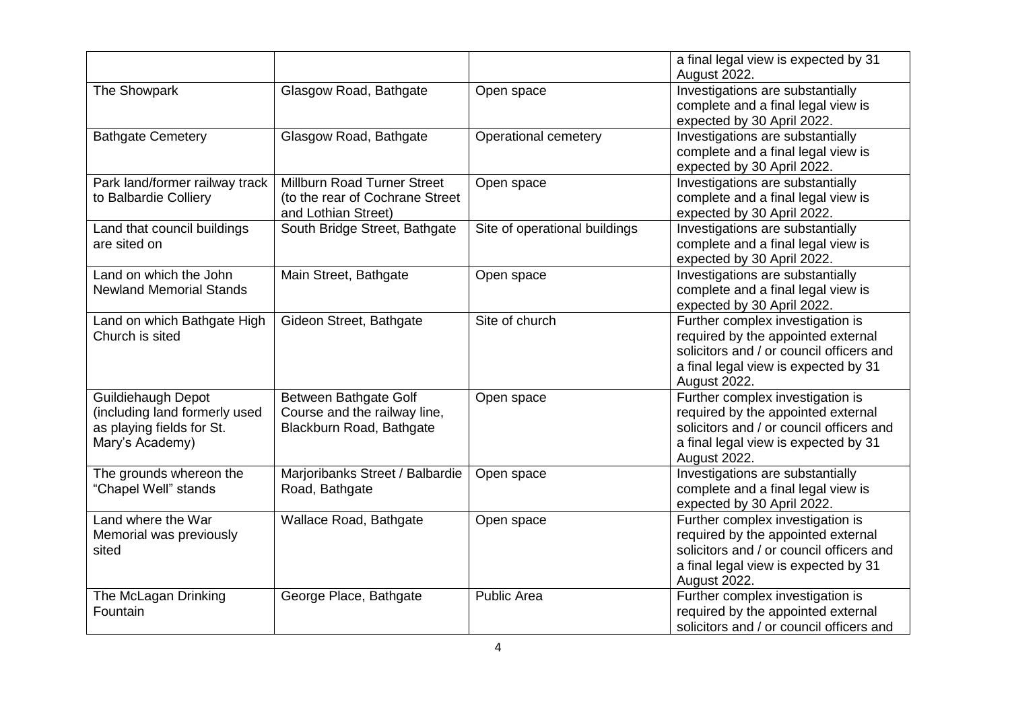|                                                                                                            |                                                                                              |                               | a final legal view is expected by 31<br>August 2022.                                                                                                                       |
|------------------------------------------------------------------------------------------------------------|----------------------------------------------------------------------------------------------|-------------------------------|----------------------------------------------------------------------------------------------------------------------------------------------------------------------------|
| The Showpark                                                                                               | Glasgow Road, Bathgate                                                                       | Open space                    | Investigations are substantially<br>complete and a final legal view is<br>expected by 30 April 2022.                                                                       |
| <b>Bathgate Cemetery</b>                                                                                   | Glasgow Road, Bathgate                                                                       | Operational cemetery          | Investigations are substantially<br>complete and a final legal view is<br>expected by 30 April 2022.                                                                       |
| Park land/former railway track<br>to Balbardie Colliery                                                    | <b>Millburn Road Turner Street</b><br>(to the rear of Cochrane Street<br>and Lothian Street) | Open space                    | Investigations are substantially<br>complete and a final legal view is<br>expected by 30 April 2022.                                                                       |
| Land that council buildings<br>are sited on                                                                | South Bridge Street, Bathgate                                                                | Site of operational buildings | Investigations are substantially<br>complete and a final legal view is<br>expected by 30 April 2022.                                                                       |
| Land on which the John<br><b>Newland Memorial Stands</b>                                                   | Main Street, Bathgate                                                                        | Open space                    | Investigations are substantially<br>complete and a final legal view is<br>expected by 30 April 2022.                                                                       |
| Land on which Bathgate High<br>Church is sited                                                             | Gideon Street, Bathgate                                                                      | Site of church                | Further complex investigation is<br>required by the appointed external<br>solicitors and / or council officers and<br>a final legal view is expected by 31<br>August 2022. |
| <b>Guildiehaugh Depot</b><br>(including land formerly used<br>as playing fields for St.<br>Mary's Academy) | Between Bathgate Golf<br>Course and the railway line,<br>Blackburn Road, Bathgate            | Open space                    | Further complex investigation is<br>required by the appointed external<br>solicitors and / or council officers and<br>a final legal view is expected by 31<br>August 2022. |
| The grounds whereon the<br>"Chapel Well" stands                                                            | Marjoribanks Street / Balbardie<br>Road, Bathgate                                            | Open space                    | Investigations are substantially<br>complete and a final legal view is<br>expected by 30 April 2022.                                                                       |
| Land where the War<br>Memorial was previously<br>sited                                                     | Wallace Road, Bathgate                                                                       | Open space                    | Further complex investigation is<br>required by the appointed external<br>solicitors and / or council officers and<br>a final legal view is expected by 31<br>August 2022. |
| The McLagan Drinking<br>Fountain                                                                           | George Place, Bathgate                                                                       | <b>Public Area</b>            | Further complex investigation is<br>required by the appointed external<br>solicitors and / or council officers and                                                         |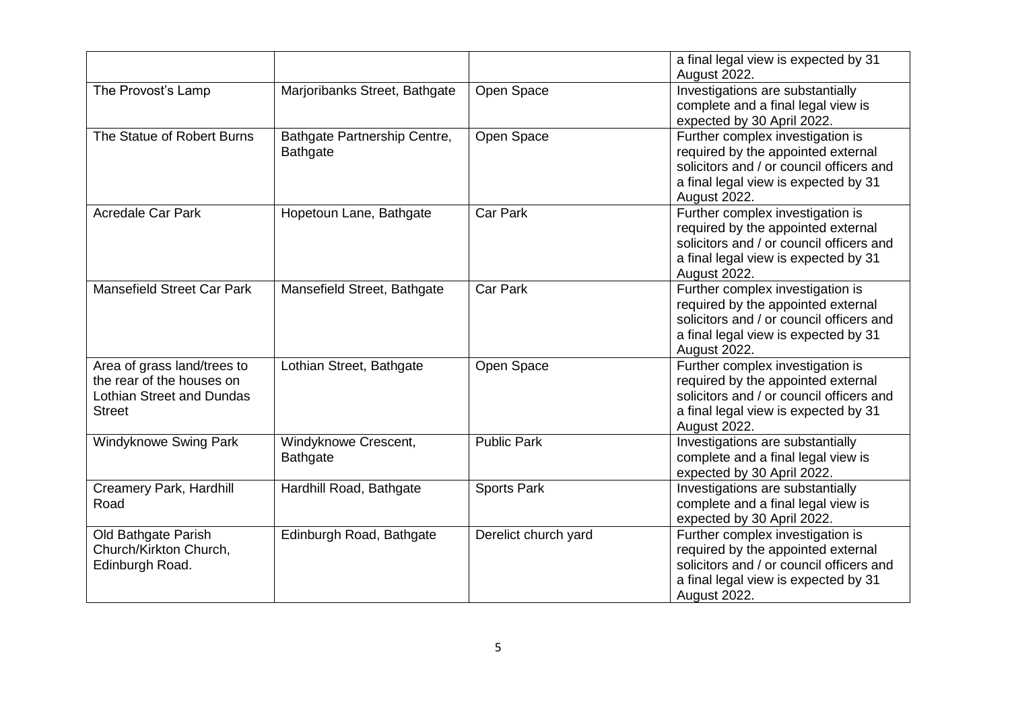|                                                                                                               |                                                 |                      | a final legal view is expected by 31<br>August 2022.                                                                                                                       |
|---------------------------------------------------------------------------------------------------------------|-------------------------------------------------|----------------------|----------------------------------------------------------------------------------------------------------------------------------------------------------------------------|
| The Provost's Lamp                                                                                            | Marjoribanks Street, Bathgate                   | Open Space           | Investigations are substantially<br>complete and a final legal view is<br>expected by 30 April 2022.                                                                       |
| The Statue of Robert Burns                                                                                    | Bathgate Partnership Centre,<br><b>Bathgate</b> | Open Space           | Further complex investigation is<br>required by the appointed external<br>solicitors and / or council officers and<br>a final legal view is expected by 31<br>August 2022. |
| <b>Acredale Car Park</b>                                                                                      | Hopetoun Lane, Bathgate                         | <b>Car Park</b>      | Further complex investigation is<br>required by the appointed external<br>solicitors and / or council officers and<br>a final legal view is expected by 31<br>August 2022. |
| <b>Mansefield Street Car Park</b>                                                                             | Mansefield Street, Bathgate                     | <b>Car Park</b>      | Further complex investigation is<br>required by the appointed external<br>solicitors and / or council officers and<br>a final legal view is expected by 31<br>August 2022. |
| Area of grass land/trees to<br>the rear of the houses on<br><b>Lothian Street and Dundas</b><br><b>Street</b> | Lothian Street, Bathgate                        | Open Space           | Further complex investigation is<br>required by the appointed external<br>solicitors and / or council officers and<br>a final legal view is expected by 31<br>August 2022. |
| <b>Windyknowe Swing Park</b>                                                                                  | Windyknowe Crescent,<br><b>Bathgate</b>         | <b>Public Park</b>   | Investigations are substantially<br>complete and a final legal view is<br>expected by 30 April 2022.                                                                       |
| Creamery Park, Hardhill<br>Road                                                                               | Hardhill Road, Bathgate                         | <b>Sports Park</b>   | Investigations are substantially<br>complete and a final legal view is<br>expected by 30 April 2022.                                                                       |
| Old Bathgate Parish<br>Church/Kirkton Church,<br>Edinburgh Road.                                              | Edinburgh Road, Bathgate                        | Derelict church yard | Further complex investigation is<br>required by the appointed external<br>solicitors and / or council officers and<br>a final legal view is expected by 31<br>August 2022. |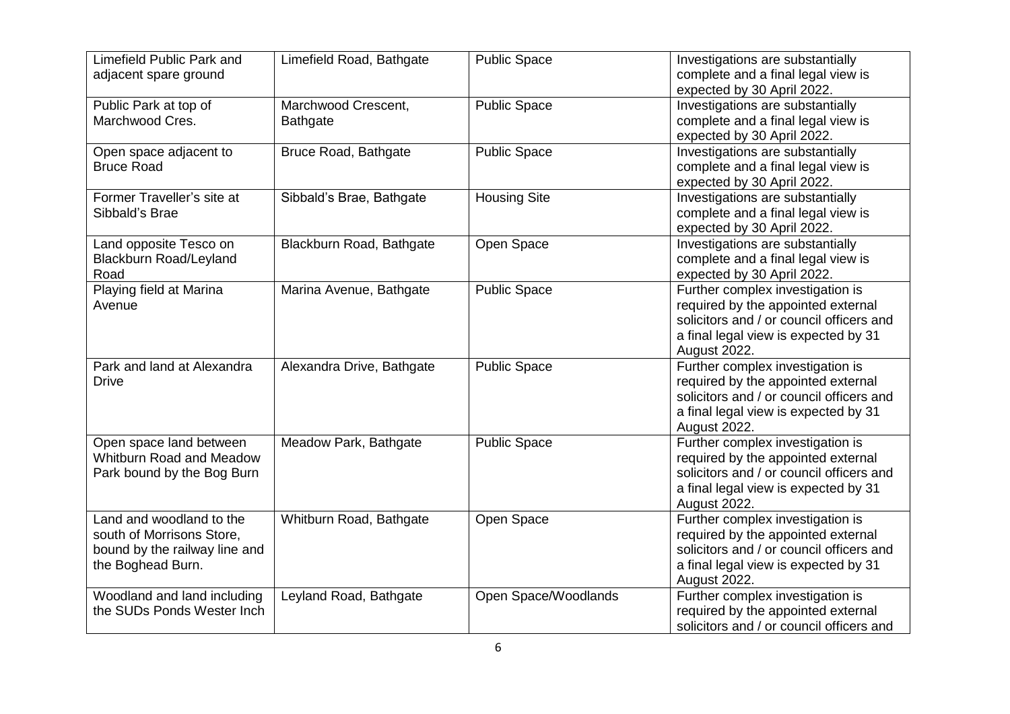| Limefield Public Park and<br>adjacent spare ground                                                          | Limefield Road, Bathgate               | <b>Public Space</b>  | Investigations are substantially<br>complete and a final legal view is<br>expected by 30 April 2022.                                                                       |
|-------------------------------------------------------------------------------------------------------------|----------------------------------------|----------------------|----------------------------------------------------------------------------------------------------------------------------------------------------------------------------|
| Public Park at top of<br>Marchwood Cres.                                                                    | Marchwood Crescent,<br><b>Bathgate</b> | <b>Public Space</b>  | Investigations are substantially<br>complete and a final legal view is<br>expected by 30 April 2022.                                                                       |
| Open space adjacent to<br><b>Bruce Road</b>                                                                 | <b>Bruce Road, Bathgate</b>            | <b>Public Space</b>  | Investigations are substantially<br>complete and a final legal view is<br>expected by 30 April 2022.                                                                       |
| Former Traveller's site at<br>Sibbald's Brae                                                                | Sibbald's Brae, Bathgate               | <b>Housing Site</b>  | Investigations are substantially<br>complete and a final legal view is<br>expected by 30 April 2022.                                                                       |
| Land opposite Tesco on<br><b>Blackburn Road/Leyland</b><br>Road                                             | Blackburn Road, Bathgate               | Open Space           | Investigations are substantially<br>complete and a final legal view is<br>expected by 30 April 2022.                                                                       |
| Playing field at Marina<br>Avenue                                                                           | Marina Avenue, Bathgate                | <b>Public Space</b>  | Further complex investigation is<br>required by the appointed external<br>solicitors and / or council officers and<br>a final legal view is expected by 31<br>August 2022. |
| Park and land at Alexandra<br><b>Drive</b>                                                                  | Alexandra Drive, Bathgate              | <b>Public Space</b>  | Further complex investigation is<br>required by the appointed external<br>solicitors and / or council officers and<br>a final legal view is expected by 31<br>August 2022. |
| Open space land between<br>Whitburn Road and Meadow<br>Park bound by the Bog Burn                           | Meadow Park, Bathgate                  | <b>Public Space</b>  | Further complex investigation is<br>required by the appointed external<br>solicitors and / or council officers and<br>a final legal view is expected by 31<br>August 2022. |
| Land and woodland to the<br>south of Morrisons Store,<br>bound by the railway line and<br>the Boghead Burn. | Whitburn Road, Bathgate                | Open Space           | Further complex investigation is<br>required by the appointed external<br>solicitors and / or council officers and<br>a final legal view is expected by 31<br>August 2022. |
| Woodland and land including<br>the SUDs Ponds Wester Inch                                                   | Leyland Road, Bathgate                 | Open Space/Woodlands | Further complex investigation is<br>required by the appointed external<br>solicitors and / or council officers and                                                         |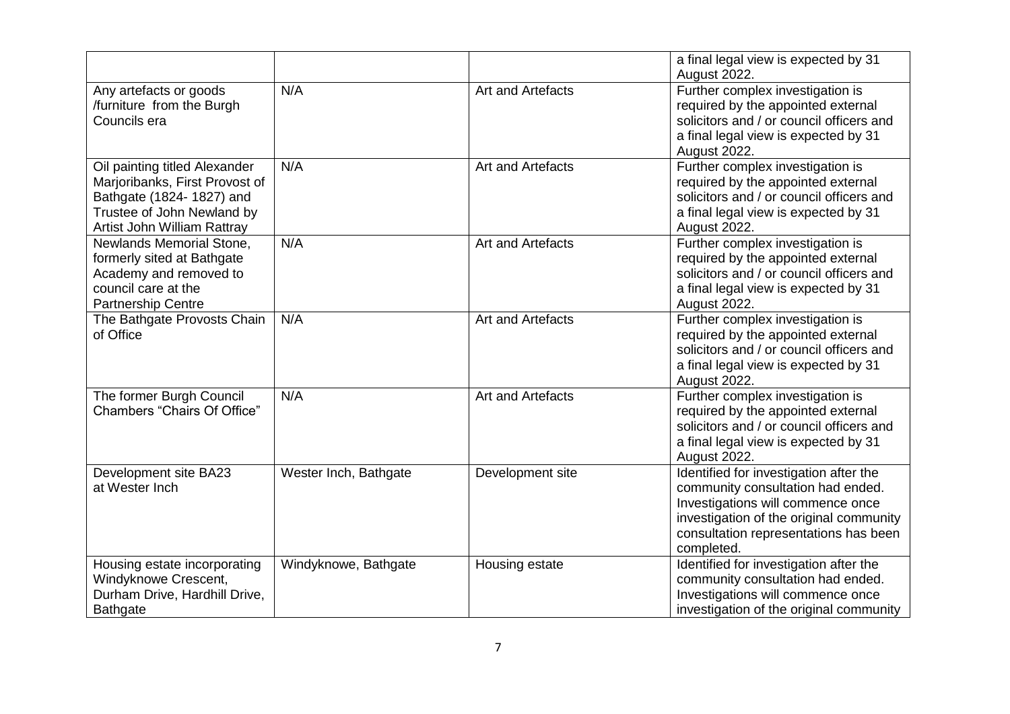|                                                                                                                                                          |                       |                   | a final legal view is expected by 31<br>August 2022.                                                                                                                                                               |
|----------------------------------------------------------------------------------------------------------------------------------------------------------|-----------------------|-------------------|--------------------------------------------------------------------------------------------------------------------------------------------------------------------------------------------------------------------|
| Any artefacts or goods<br>/furniture from the Burgh<br>Councils era                                                                                      | N/A                   | Art and Artefacts | Further complex investigation is<br>required by the appointed external<br>solicitors and / or council officers and<br>a final legal view is expected by 31<br>August 2022.                                         |
| Oil painting titled Alexander<br>Marjoribanks, First Provost of<br>Bathgate (1824-1827) and<br>Trustee of John Newland by<br>Artist John William Rattray | N/A                   | Art and Artefacts | Further complex investigation is<br>required by the appointed external<br>solicitors and / or council officers and<br>a final legal view is expected by 31<br>August 2022.                                         |
| Newlands Memorial Stone,<br>formerly sited at Bathgate<br>Academy and removed to<br>council care at the<br><b>Partnership Centre</b>                     | N/A                   | Art and Artefacts | Further complex investigation is<br>required by the appointed external<br>solicitors and / or council officers and<br>a final legal view is expected by 31<br>August 2022.                                         |
| The Bathgate Provosts Chain<br>of Office                                                                                                                 | N/A                   | Art and Artefacts | Further complex investigation is<br>required by the appointed external<br>solicitors and / or council officers and<br>a final legal view is expected by 31<br>August 2022.                                         |
| The former Burgh Council<br>Chambers "Chairs Of Office"                                                                                                  | N/A                   | Art and Artefacts | Further complex investigation is<br>required by the appointed external<br>solicitors and / or council officers and<br>a final legal view is expected by 31<br>August 2022.                                         |
| Development site BA23<br>at Wester Inch                                                                                                                  | Wester Inch, Bathgate | Development site  | Identified for investigation after the<br>community consultation had ended.<br>Investigations will commence once<br>investigation of the original community<br>consultation representations has been<br>completed. |
| Housing estate incorporating<br>Windyknowe Crescent,<br>Durham Drive, Hardhill Drive,<br>Bathgate                                                        | Windyknowe, Bathgate  | Housing estate    | Identified for investigation after the<br>community consultation had ended.<br>Investigations will commence once<br>investigation of the original community                                                        |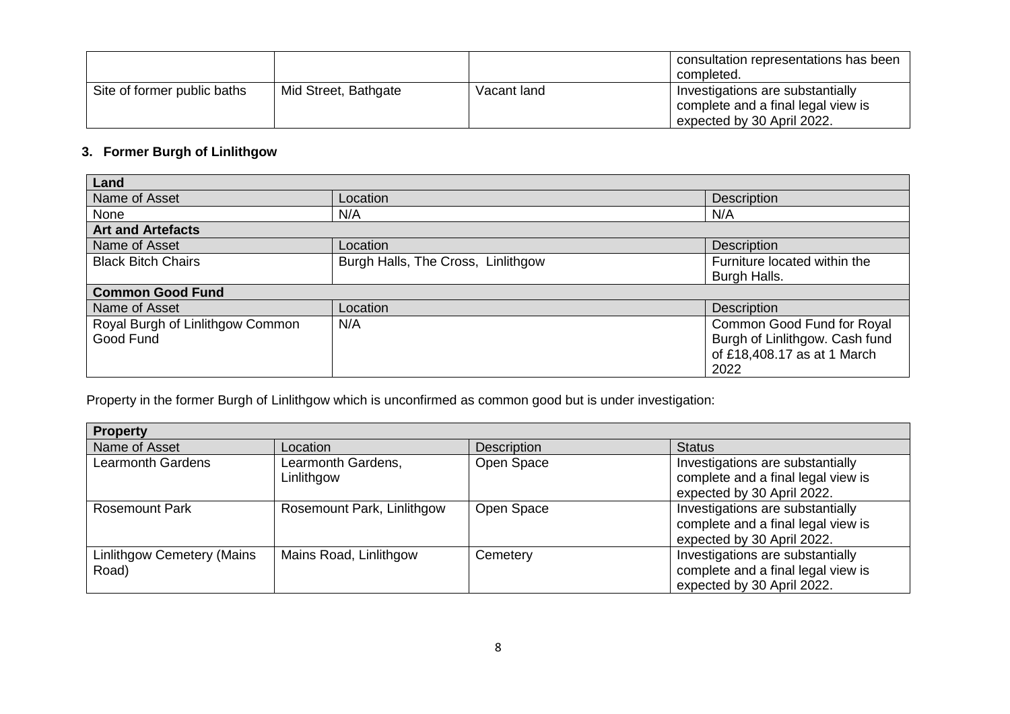|                             |                      |             | consultation representations has been<br>completed.                                                  |
|-----------------------------|----------------------|-------------|------------------------------------------------------------------------------------------------------|
| Site of former public baths | Mid Street, Bathgate | Vacant land | Investigations are substantially<br>complete and a final legal view is<br>expected by 30 April 2022. |

## **3. Former Burgh of Linlithgow**

| Land                             |                                    |                                |
|----------------------------------|------------------------------------|--------------------------------|
| Name of Asset                    | Location                           | <b>Description</b>             |
| None                             | N/A                                | N/A                            |
| <b>Art and Artefacts</b>         |                                    |                                |
| Name of Asset                    | Location                           | <b>Description</b>             |
| <b>Black Bitch Chairs</b>        | Burgh Halls, The Cross, Linlithgow | Furniture located within the   |
|                                  |                                    | Burgh Halls.                   |
| <b>Common Good Fund</b>          |                                    |                                |
| Name of Asset                    | Location                           | <b>Description</b>             |
| Royal Burgh of Linlithgow Common | N/A                                | Common Good Fund for Royal     |
| Good Fund                        |                                    | Burgh of Linlithgow. Cash fund |
|                                  |                                    | of £18,408.17 as at 1 March    |
|                                  |                                    | 2022                           |

Property in the former Burgh of Linlithgow which is unconfirmed as common good but is under investigation:

| <b>Property</b>                     |                                  |                    |                                                                                                      |
|-------------------------------------|----------------------------------|--------------------|------------------------------------------------------------------------------------------------------|
| Name of Asset                       | Location                         | <b>Description</b> | <b>Status</b>                                                                                        |
| <b>Learmonth Gardens</b>            | Learmonth Gardens,<br>Linlithgow | Open Space         | Investigations are substantially<br>complete and a final legal view is<br>expected by 30 April 2022. |
| <b>Rosemount Park</b>               | Rosemount Park, Linlithgow       | Open Space         | Investigations are substantially<br>complete and a final legal view is<br>expected by 30 April 2022. |
| Linlithgow Cemetery (Mains<br>Road) | Mains Road, Linlithgow           | Cemetery           | Investigations are substantially<br>complete and a final legal view is<br>expected by 30 April 2022. |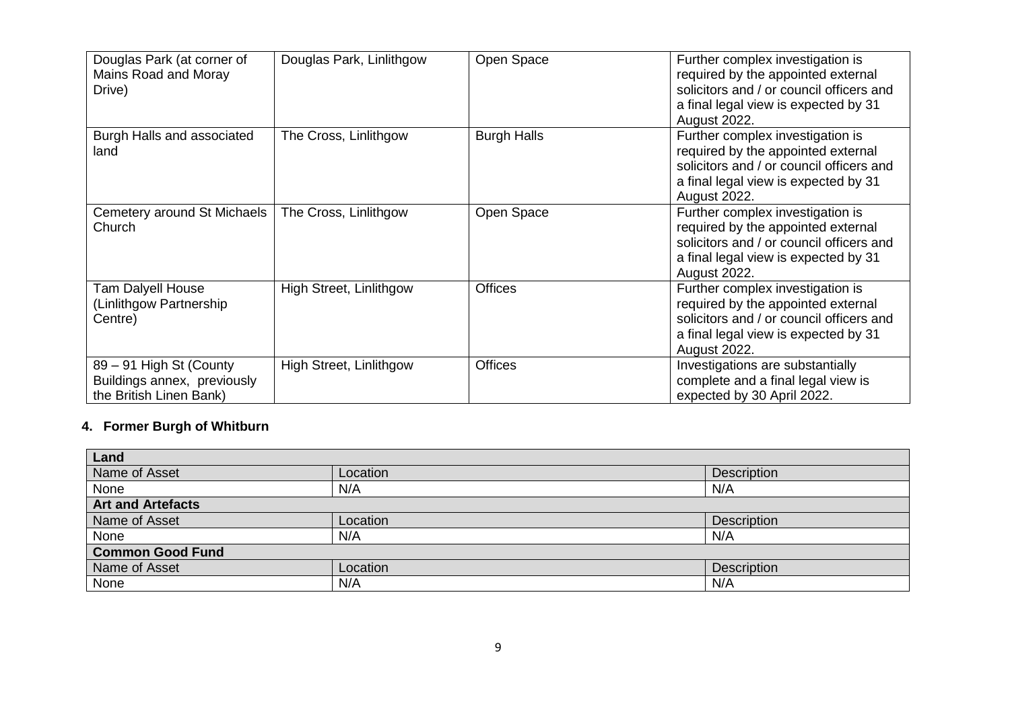| Douglas Park (at corner of<br>Mains Road and Moray<br>Drive)                      | Douglas Park, Linlithgow       | Open Space         | Further complex investigation is<br>required by the appointed external<br>solicitors and / or council officers and<br>a final legal view is expected by 31<br><b>August 2022.</b> |
|-----------------------------------------------------------------------------------|--------------------------------|--------------------|-----------------------------------------------------------------------------------------------------------------------------------------------------------------------------------|
| Burgh Halls and associated<br>land                                                | The Cross, Linlithgow          | <b>Burgh Halls</b> | Further complex investigation is<br>required by the appointed external<br>solicitors and / or council officers and<br>a final legal view is expected by 31<br>August 2022.        |
| Cemetery around St Michaels<br>Church                                             | The Cross, Linlithgow          | Open Space         | Further complex investigation is<br>required by the appointed external<br>solicitors and / or council officers and<br>a final legal view is expected by 31<br>August 2022.        |
| Tam Dalyell House<br>(Linlithgow Partnership<br>Centre)                           | High Street, Linlithgow        | <b>Offices</b>     | Further complex investigation is<br>required by the appointed external<br>solicitors and / or council officers and<br>a final legal view is expected by 31<br>August 2022.        |
| 89 - 91 High St (County<br>Buildings annex, previously<br>the British Linen Bank) | <b>High Street, Linlithgow</b> | <b>Offices</b>     | Investigations are substantially<br>complete and a final legal view is<br>expected by 30 April 2022.                                                                              |

# **4. Former Burgh of Whitburn**

| Land                     |          |                    |  |  |  |
|--------------------------|----------|--------------------|--|--|--|
| Name of Asset            | Location | Description        |  |  |  |
| None                     | N/A      | N/A                |  |  |  |
| <b>Art and Artefacts</b> |          |                    |  |  |  |
| Name of Asset            | Location | <b>Description</b> |  |  |  |
| None                     | N/A      | N/A                |  |  |  |
| <b>Common Good Fund</b>  |          |                    |  |  |  |
| Name of Asset            | Location | <b>Description</b> |  |  |  |
| None                     | N/A      | N/A                |  |  |  |